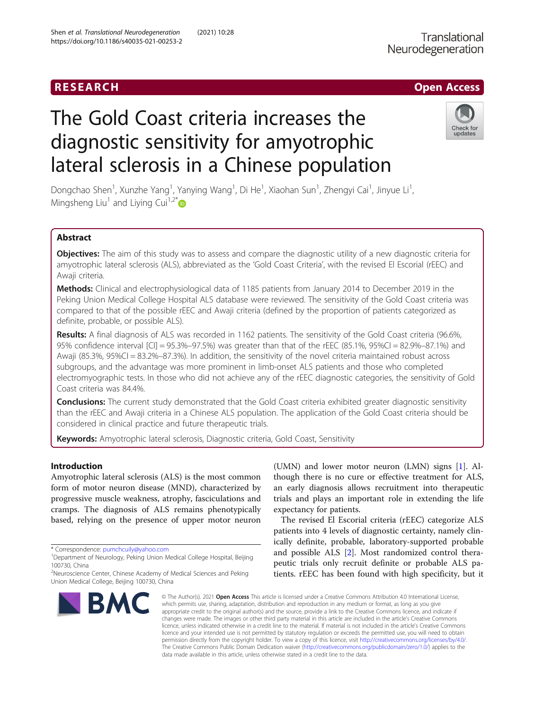# RESEARCH **RESEARCH CHOOSE ACCESS**

# The Gold Coast criteria increases the diagnostic sensitivity for amyotrophic lateral sclerosis in a Chinese population



Dongchao Shen<sup>1</sup>, Xunzhe Yang<sup>1</sup>, Yanying Wang<sup>1</sup>, Di He<sup>1</sup>, Xiaohan Sun<sup>1</sup>, Zhengyi Cai<sup>1</sup>, Jinyue Li<sup>1</sup> , Mingsheng Liu<sup>1</sup> and Liying Cui<sup>1,2[\\*](http://orcid.org/0000-0002-5369-1541)</sup>

# Abstract

Objectives: The aim of this study was to assess and compare the diagnostic utility of a new diagnostic criteria for amyotrophic lateral sclerosis (ALS), abbreviated as the 'Gold Coast Criteria', with the revised El Escorial (rEEC) and Awaji criteria.

Methods: Clinical and electrophysiological data of 1185 patients from January 2014 to December 2019 in the Peking Union Medical College Hospital ALS database were reviewed. The sensitivity of the Gold Coast criteria was compared to that of the possible rEEC and Awaji criteria (defined by the proportion of patients categorized as definite, probable, or possible ALS).

Results: A final diagnosis of ALS was recorded in 1162 patients. The sensitivity of the Gold Coast criteria (96.6%, 95% confidence interval [CI] = 95.3%–97.5%) was greater than that of the rEEC (85.1%, 95%CI = 82.9%–87.1%) and Awaji (85.3%, 95%CI = 83.2%–87.3%). In addition, the sensitivity of the novel criteria maintained robust across subgroups, and the advantage was more prominent in limb-onset ALS patients and those who completed electromyographic tests. In those who did not achieve any of the rEEC diagnostic categories, the sensitivity of Gold Coast criteria was 84.4%.

**Conclusions:** The current study demonstrated that the Gold Coast criteria exhibited greater diagnostic sensitivity than the rEEC and Awaji criteria in a Chinese ALS population. The application of the Gold Coast criteria should be considered in clinical practice and future therapeutic trials.

Keywords: Amyotrophic lateral sclerosis, Diagnostic criteria, Gold Coast, Sensitivity

# Introduction

Amyotrophic lateral sclerosis (ALS) is the most common form of motor neuron disease (MND), characterized by progressive muscle weakness, atrophy, fasciculations and cramps. The diagnosis of ALS remains phenotypically based, relying on the presence of upper motor neuron

<sup>&</sup>lt;sup>2</sup>Neuroscience Center, Chinese Academy of Medical Sciences and Peking Union Medical College, Beijing 100730, China



(UMN) and lower motor neuron (LMN) signs [[1\]](#page-6-0). Although there is no cure or effective treatment for ALS, an early diagnosis allows recruitment into therapeutic trials and plays an important role in extending the life expectancy for patients.

The revised El Escorial criteria (rEEC) categorize ALS patients into 4 levels of diagnostic certainty, namely clinically definite, probable, laboratory-supported probable and possible ALS [[2](#page-6-0)]. Most randomized control therapeutic trials only recruit definite or probable ALS patients. rEEC has been found with high specificity, but it

© The Author(s), 2021 **Open Access** This article is licensed under a Creative Commons Attribution 4.0 International License, which permits use, sharing, adaptation, distribution and reproduction in any medium or format, as long as you give appropriate credit to the original author(s) and the source, provide a link to the Creative Commons licence, and indicate if changes were made. The images or other third party material in this article are included in the article's Creative Commons licence, unless indicated otherwise in a credit line to the material. If material is not included in the article's Creative Commons licence and your intended use is not permitted by statutory regulation or exceeds the permitted use, you will need to obtain permission directly from the copyright holder. To view a copy of this licence, visit [http://creativecommons.org/licenses/by/4.0/.](http://creativecommons.org/licenses/by/4.0/) The Creative Commons Public Domain Dedication waiver [\(http://creativecommons.org/publicdomain/zero/1.0/](http://creativecommons.org/publicdomain/zero/1.0/)) applies to the data made available in this article, unless otherwise stated in a credit line to the data.

<sup>\*</sup> Correspondence: [pumchcuily@yahoo.com](mailto:pumchcuily@yahoo.com) <sup>1</sup>

<sup>&</sup>lt;sup>1</sup>Department of Neurology, Peking Union Medical College Hospital, Beijing 100730, China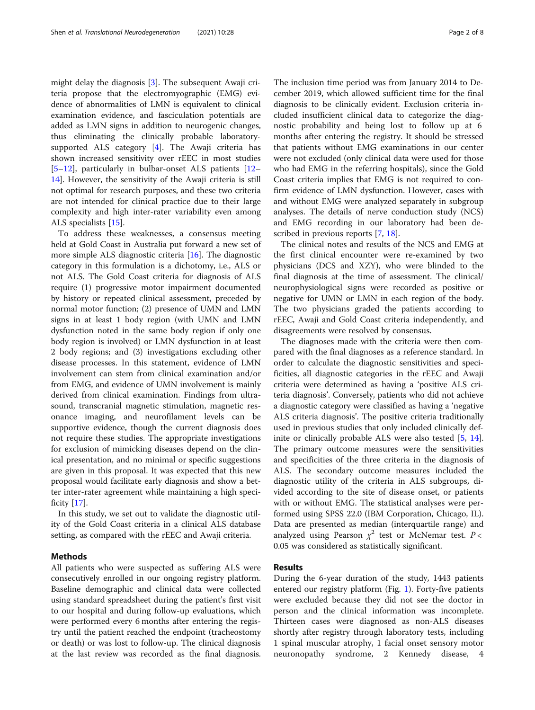might delay the diagnosis [[3\]](#page-6-0). The subsequent Awaji criteria propose that the electromyographic (EMG) evidence of abnormalities of LMN is equivalent to clinical examination evidence, and fasciculation potentials are added as LMN signs in addition to neurogenic changes, thus eliminating the clinically probable laboratorysupported ALS category [\[4](#page-6-0)]. The Awaji criteria has shown increased sensitivity over rEEC in most studies [[5](#page-6-0)–[12\]](#page-6-0), particularly in bulbar-onset ALS patients [[12](#page-6-0)– [14\]](#page-6-0). However, the sensitivity of the Awaji criteria is still not optimal for research purposes, and these two criteria are not intended for clinical practice due to their large complexity and high inter-rater variability even among ALS specialists [[15\]](#page-6-0).

To address these weaknesses, a consensus meeting held at Gold Coast in Australia put forward a new set of more simple ALS diagnostic criteria [\[16](#page-6-0)]. The diagnostic category in this formulation is a dichotomy, i.e., ALS or not ALS. The Gold Coast criteria for diagnosis of ALS require (1) progressive motor impairment documented by history or repeated clinical assessment, preceded by normal motor function; (2) presence of UMN and LMN signs in at least 1 body region (with UMN and LMN dysfunction noted in the same body region if only one body region is involved) or LMN dysfunction in at least 2 body regions; and (3) investigations excluding other disease processes. In this statement, evidence of LMN involvement can stem from clinical examination and/or from EMG, and evidence of UMN involvement is mainly derived from clinical examination. Findings from ultrasound, transcranial magnetic stimulation, magnetic resonance imaging, and neurofilament levels can be supportive evidence, though the current diagnosis does not require these studies. The appropriate investigations for exclusion of mimicking diseases depend on the clinical presentation, and no minimal or specific suggestions are given in this proposal. It was expected that this new proposal would facilitate early diagnosis and show a better inter-rater agreement while maintaining a high specificity [[17\]](#page-6-0).

In this study, we set out to validate the diagnostic utility of the Gold Coast criteria in a clinical ALS database setting, as compared with the rEEC and Awaji criteria.

# Methods

All patients who were suspected as suffering ALS were consecutively enrolled in our ongoing registry platform. Baseline demographic and clinical data were collected using standard spreadsheet during the patient's first visit to our hospital and during follow-up evaluations, which were performed every 6 months after entering the registry until the patient reached the endpoint (tracheostomy or death) or was lost to follow-up. The clinical diagnosis at the last review was recorded as the final diagnosis.

The inclusion time period was from January 2014 to December 2019, which allowed sufficient time for the final diagnosis to be clinically evident. Exclusion criteria included insufficient clinical data to categorize the diagnostic probability and being lost to follow up at 6 months after entering the registry. It should be stressed that patients without EMG examinations in our center were not excluded (only clinical data were used for those who had EMG in the referring hospitals), since the Gold Coast criteria implies that EMG is not required to confirm evidence of LMN dysfunction. However, cases with and without EMG were analyzed separately in subgroup analyses. The details of nerve conduction study (NCS) and EMG recording in our laboratory had been de-scribed in previous reports [\[7](#page-6-0), [18](#page-6-0)].

The clinical notes and results of the NCS and EMG at the first clinical encounter were re-examined by two physicians (DCS and XZY), who were blinded to the final diagnosis at the time of assessment. The clinical/ neurophysiological signs were recorded as positive or negative for UMN or LMN in each region of the body. The two physicians graded the patients according to rEEC, Awaji and Gold Coast criteria independently, and disagreements were resolved by consensus.

The diagnoses made with the criteria were then compared with the final diagnoses as a reference standard. In order to calculate the diagnostic sensitivities and specificities, all diagnostic categories in the rEEC and Awaji criteria were determined as having a 'positive ALS criteria diagnosis'. Conversely, patients who did not achieve a diagnostic category were classified as having a 'negative ALS criteria diagnosis'. The positive criteria traditionally used in previous studies that only included clinically definite or clinically probable ALS were also tested [[5,](#page-6-0) [14](#page-6-0)]. The primary outcome measures were the sensitivities and specificities of the three criteria in the diagnosis of ALS. The secondary outcome measures included the diagnostic utility of the criteria in ALS subgroups, divided according to the site of disease onset, or patients with or without EMG. The statistical analyses were performed using SPSS 22.0 (IBM Corporation, Chicago, IL). Data are presented as median (interquartile range) and analyzed using Pearson  $\chi^2$  test or McNemar test. P < 0.05 was considered as statistically significant.

# Results

During the 6-year duration of the study, 1443 patients entered our registry platform (Fig. [1\)](#page-2-0). Forty-five patients were excluded because they did not see the doctor in person and the clinical information was incomplete. Thirteen cases were diagnosed as non-ALS diseases shortly after registry through laboratory tests, including 1 spinal muscular atrophy, 1 facial onset sensory motor neuronopathy syndrome, 2 Kennedy disease, 4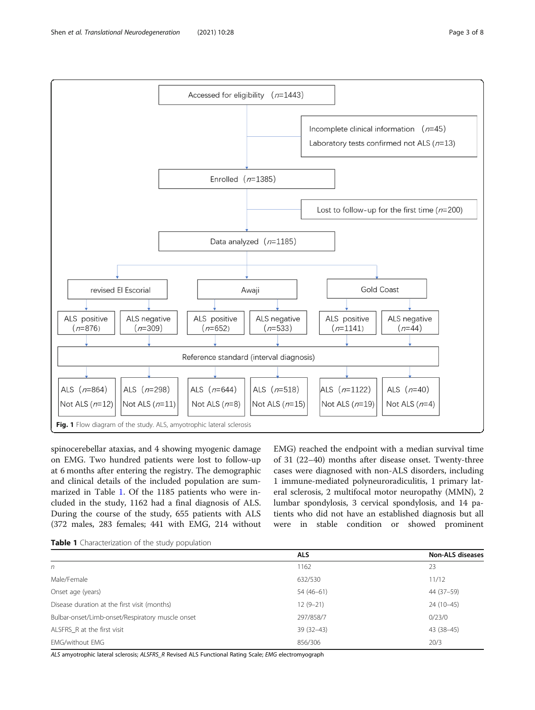<span id="page-2-0"></span>

spinocerebellar ataxias, and 4 showing myogenic damage on EMG. Two hundred patients were lost to follow-up at 6 months after entering the registry. The demographic and clinical details of the included population are summarized in Table 1. Of the 1185 patients who were included in the study, 1162 had a final diagnosis of ALS. During the course of the study, 655 patients with ALS (372 males, 283 females; 441 with EMG, 214 without

EMG) reached the endpoint with a median survival time of 31 (22–40) months after disease onset. Twenty-three cases were diagnosed with non-ALS disorders, including 1 immune-mediated polyneuroradiculitis, 1 primary lateral sclerosis, 2 multifocal motor neuropathy (MMN), 2 lumbar spondylosis, 3 cervical spondylosis, and 14 patients who did not have an established diagnosis but all were in stable condition or showed prominent

|                                                  | <b>ALS</b>  | <b>Non-ALS diseases</b> |
|--------------------------------------------------|-------------|-------------------------|
| n                                                | 1162        | 23                      |
| Male/Female                                      | 632/530     | 11/12                   |
| Onset age (years)                                | $54(46-61)$ | 44 (37-59)              |
| Disease duration at the first visit (months)     | $12(9-21)$  | $24(10-45)$             |
| Bulbar-onset/Limb-onset/Respiratory muscle onset | 297/858/7   | 0/23/0                  |
| ALSFRS R at the first visit                      | $39(32-43)$ | 43 (38-45)              |
| <b>EMG/without EMG</b>                           | 856/306     | 20/3                    |

ALS amyotrophic lateral sclerosis; ALSFRS\_R Revised ALS Functional Rating Scale; EMG electromyograph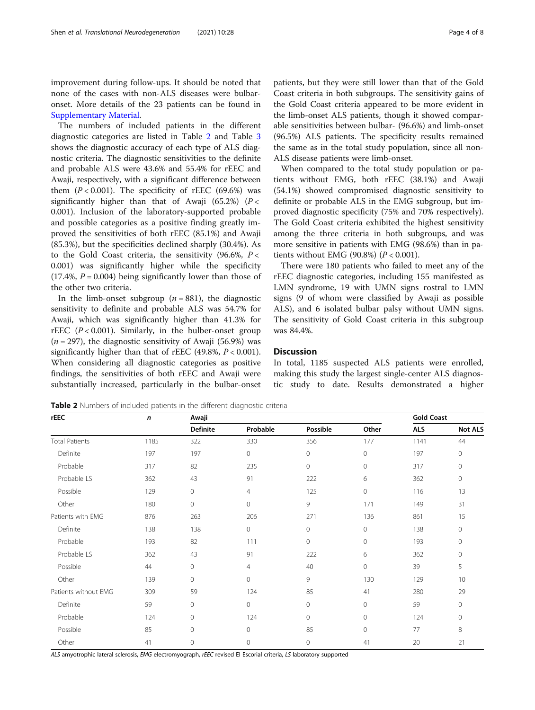improvement during follow-ups. It should be noted that none of the cases with non-ALS diseases were bulbaronset. More details of the 23 patients can be found in [Supplementary Material](#page-6-0).

The numbers of included patients in the different diagnostic categories are listed in Table 2 and Table [3](#page-4-0) shows the diagnostic accuracy of each type of ALS diagnostic criteria. The diagnostic sensitivities to the definite and probable ALS were 43.6% and 55.4% for rEEC and Awaji, respectively, with a significant difference between them  $(P < 0.001)$ . The specificity of rEEC (69.6%) was significantly higher than that of Awaji (65.2%) ( $P <$ 0.001). Inclusion of the laboratory-supported probable and possible categories as a positive finding greatly improved the sensitivities of both rEEC (85.1%) and Awaji (85.3%), but the specificities declined sharply (30.4%). As to the Gold Coast criteria, the sensitivity (96.6%,  $P <$ 0.001) was significantly higher while the specificity  $(17.4\%, P = 0.004)$  being significantly lower than those of the other two criteria.

In the limb-onset subgroup ( $n = 881$ ), the diagnostic sensitivity to definite and probable ALS was 54.7% for Awaji, which was significantly higher than 41.3% for rEEC  $(P<0.001)$ . Similarly, in the bulber-onset group  $(n = 297)$ , the diagnostic sensitivity of Awaji (56.9%) was significantly higher than that of rEEC (49.8%,  $P < 0.001$ ). When considering all diagnostic categories as positive findings, the sensitivities of both rEEC and Awaji were substantially increased, particularly in the bulbar-onset patients, but they were still lower than that of the Gold Coast criteria in both subgroups. The sensitivity gains of the Gold Coast criteria appeared to be more evident in the limb-onset ALS patients, though it showed comparable sensitivities between bulbar- (96.6%) and limb-onset (96.5%) ALS patients. The specificity results remained the same as in the total study population, since all non-ALS disease patients were limb-onset.

When compared to the total study population or patients without EMG, both rEEC (38.1%) and Awaji (54.1%) showed compromised diagnostic sensitivity to definite or probable ALS in the EMG subgroup, but improved diagnostic specificity (75% and 70% respectively). The Gold Coast criteria exhibited the highest sensitivity among the three criteria in both subgroups, and was more sensitive in patients with EMG (98.6%) than in patients without EMG (90.8%)  $(P < 0.001)$ .

There were 180 patients who failed to meet any of the rEEC diagnostic categories, including 155 manifested as LMN syndrome, 19 with UMN signs rostral to LMN signs (9 of whom were classified by Awaji as possible ALS), and 6 isolated bulbar palsy without UMN signs. The sensitivity of Gold Coast criteria in this subgroup was 84.4%.

## **Discussion**

In total, 1185 suspected ALS patients were enrolled, making this study the largest single-center ALS diagnostic study to date. Results demonstrated a higher

Table 2 Numbers of included patients in the different diagnostic criteria

rEEC n Awaji Gold Coast Definite Probable Possible Other ALS Not ALS Total Patients 1185 322 330 356 177 1141 44 Definite 197 197 0 0 0 197 0 Probable 317 82 235 0 0 317 0 Probable LS 362 43 91 222 6 362 0 Possible 129 0 4 125 0 116 13 Other 180 0 0 0 9 171 149 31 Patients with EMG 876 861 263 206 206 271 136 861 15 Definite 138 138 0 0 0 138 0 Probable 193 82 111 0 0 193 0 Probable LS 362 43 91 222 6 362 0 Possible 44 0 4 40 0 39 5 Other 139 0 0 0 9 130 129 10 Patients without EMG 309 59 124 85 41 280 29 Definite 59 0 0 0 0 59 0 Probable 124 0 124 0 0 124 0 Possible 85 0 0 85 0 77 8 Other 41 0 0 0 41 20 21

ALS amyotrophic lateral sclerosis, EMG electromyograph, rEEC revised El Escorial criteria, LS laboratory supported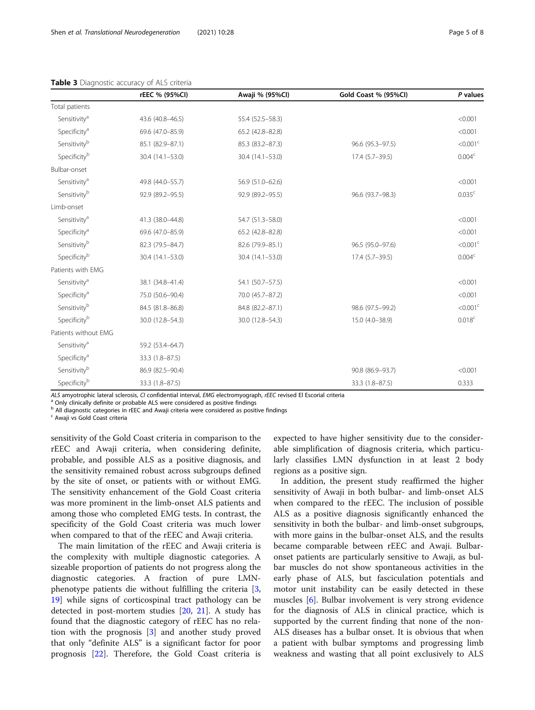|                          | rEEC % (95%CI)   | Awaji % (95%Cl)    | Gold Coast % (95%Cl) | P values             |
|--------------------------|------------------|--------------------|----------------------|----------------------|
| Total patients           |                  |                    |                      |                      |
| Sensitivity <sup>a</sup> | 43.6 (40.8-46.5) | 55.4 (52.5 - 58.3) |                      | < 0.001              |
| Specificity <sup>a</sup> | 69.6 (47.0-85.9) | 65.2 (42.8-82.8)   |                      | < 0.001              |
| Sensitivityb             | 85.1 (82.9-87.1) | 85.3 (83.2-87.3)   | 96.6 (95.3-97.5)     | $<$ 0.001 $<$        |
| Specificityb             | 30.4 (14.1-53.0) | 30.4 (14.1-53.0)   | 17.4 (5.7-39.5)      | 0.004 <sup>c</sup>   |
| Bulbar-onset             |                  |                    |                      |                      |
| Sensitivity <sup>a</sup> | 49.8 (44.0-55.7) | 56.9 (51.0-62.6)   |                      | < 0.001              |
| Sensitivityb             | 92.9 (89.2-95.5) | 92.9 (89.2-95.5)   | 96.6 (93.7-98.3)     | 0.035 <sup>c</sup>   |
| Limb-onset               |                  |                    |                      |                      |
| Sensitivity <sup>a</sup> | 41.3 (38.0-44.8) | 54.7 (51.3-58.0)   |                      | < 0.001              |
| Specificity <sup>a</sup> | 69.6 (47.0-85.9) | 65.2 (42.8-82.8)   |                      | < 0.001              |
| Sensitivityb             | 82.3 (79.5-84.7) | 82.6 (79.9-85.1)   | 96.5 (95.0-97.6)     | < 0.001 <sup>c</sup> |
| Specificityb             | 30.4 (14.1-53.0) | 30.4 (14.1-53.0)   | 17.4 (5.7-39.5)      | 0.004 <sup>c</sup>   |
| Patients with EMG        |                  |                    |                      |                      |
| Sensitivity <sup>a</sup> | 38.1 (34.8-41.4) | 54.1 (50.7-57.5)   |                      | < 0.001              |
| Specificity <sup>a</sup> | 75.0 (50.6-90.4) | 70.0 (45.7-87.2)   |                      | < 0.001              |
| Sensitivity <sup>b</sup> | 84.5 (81.8-86.8) | 84.8 (82.2-87.1)   | 98.6 (97.5-99.2)     | $<$ 0.001 $<$        |
| Specificityb             | 30.0 (12.8-54.3) | 30.0 (12.8-54.3)   | 15.0 (4.0-38.9)      | 0.018 <sup>c</sup>   |
| Patients without EMG     |                  |                    |                      |                      |
| Sensitivity <sup>a</sup> | 59.2 (53.4-64.7) |                    |                      |                      |
| Specificity <sup>a</sup> | 33.3 (1.8-87.5)  |                    |                      |                      |
| Sensitivity <sup>b</sup> | 86.9 (82.5-90.4) |                    | 90.8 (86.9-93.7)     | < 0.001              |
| Specificityb             | 33.3 (1.8-87.5)  |                    | 33.3 (1.8-87.5)      | 0.333                |

<span id="page-4-0"></span>

|  | Table 3 Diagnostic accuracy of ALS criteria |  |  |  |  |
|--|---------------------------------------------|--|--|--|--|
|--|---------------------------------------------|--|--|--|--|

ALS amyotrophic lateral sclerosis, CI confidential interval, EMG electromyograph, rEEC revised El Escorial criteria<br><sup>a</sup> Only clinically definite or probable ALS were considered as positive findings

b All diagnostic categories in rEEC and Awaji criteria were considered as positive findings

<sup>c</sup> Awaji vs Gold Coast criteria

sensitivity of the Gold Coast criteria in comparison to the rEEC and Awaji criteria, when considering definite, probable, and possible ALS as a positive diagnosis, and the sensitivity remained robust across subgroups defined by the site of onset, or patients with or without EMG. The sensitivity enhancement of the Gold Coast criteria was more prominent in the limb-onset ALS patients and among those who completed EMG tests. In contrast, the specificity of the Gold Coast criteria was much lower when compared to that of the rEEC and Awaji criteria.

The main limitation of the rEEC and Awaji criteria is the complexity with multiple diagnostic categories. A sizeable proportion of patients do not progress along the diagnostic categories. A fraction of pure LMNphenotype patients die without fulfilling the criteria [\[3](#page-6-0), [19\]](#page-6-0) while signs of corticospinal tract pathology can be detected in post-mortem studies [[20](#page-6-0), [21\]](#page-6-0). A study has found that the diagnostic category of rEEC has no relation with the prognosis [\[3\]](#page-6-0) and another study proved that only "definite ALS" is a significant factor for poor prognosis [\[22](#page-6-0)]. Therefore, the Gold Coast criteria is

expected to have higher sensitivity due to the considerable simplification of diagnosis criteria, which particularly classifies LMN dysfunction in at least 2 body regions as a positive sign.

In addition, the present study reaffirmed the higher sensitivity of Awaji in both bulbar- and limb-onset ALS when compared to the rEEC. The inclusion of possible ALS as a positive diagnosis significantly enhanced the sensitivity in both the bulbar- and limb-onset subgroups, with more gains in the bulbar-onset ALS, and the results became comparable between rEEC and Awaji. Bulbaronset patients are particularly sensitive to Awaji, as bulbar muscles do not show spontaneous activities in the early phase of ALS, but fasciculation potentials and motor unit instability can be easily detected in these muscles [\[6](#page-6-0)]. Bulbar involvement is very strong evidence for the diagnosis of ALS in clinical practice, which is supported by the current finding that none of the non-ALS diseases has a bulbar onset. It is obvious that when a patient with bulbar symptoms and progressing limb weakness and wasting that all point exclusively to ALS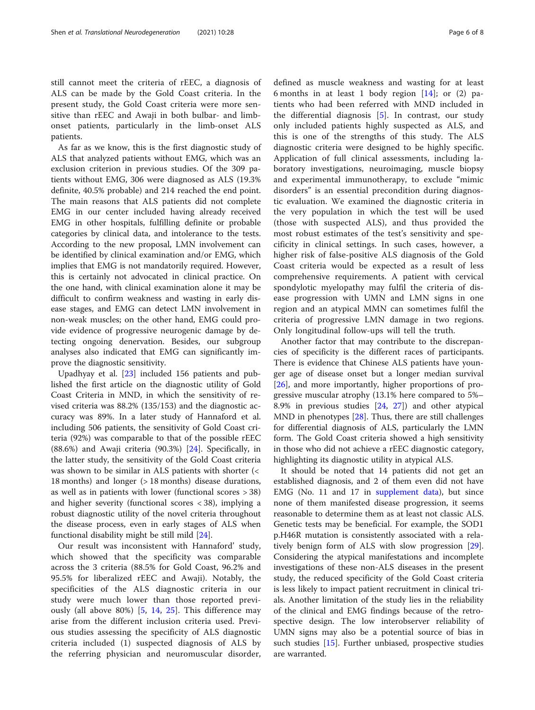still cannot meet the criteria of rEEC, a diagnosis of ALS can be made by the Gold Coast criteria. In the present study, the Gold Coast criteria were more sensitive than rEEC and Awaji in both bulbar- and limbonset patients, particularly in the limb-onset ALS patients.

As far as we know, this is the first diagnostic study of ALS that analyzed patients without EMG, which was an exclusion criterion in previous studies. Of the 309 patients without EMG, 306 were diagnosed as ALS (19.3% definite, 40.5% probable) and 214 reached the end point. The main reasons that ALS patients did not complete EMG in our center included having already received EMG in other hospitals, fulfilling definite or probable categories by clinical data, and intolerance to the tests. According to the new proposal, LMN involvement can be identified by clinical examination and/or EMG, which implies that EMG is not mandatorily required. However, this is certainly not advocated in clinical practice. On the one hand, with clinical examination alone it may be difficult to confirm weakness and wasting in early disease stages, and EMG can detect LMN involvement in non-weak muscles; on the other hand, EMG could provide evidence of progressive neurogenic damage by detecting ongoing denervation. Besides, our subgroup analyses also indicated that EMG can significantly improve the diagnostic sensitivity.

Upadhyay et al. [[23](#page-6-0)] included 156 patients and published the first article on the diagnostic utility of Gold Coast Criteria in MND, in which the sensitivity of revised criteria was 88.2% (135/153) and the diagnostic accuracy was 89%. In a later study of Hannaford et al. including 506 patients, the sensitivity of Gold Coast criteria (92%) was comparable to that of the possible rEEC (88.6%) and Awaji criteria (90.3%) [[24](#page-6-0)]. Specifically, in the latter study, the sensitivity of the Gold Coast criteria was shown to be similar in ALS patients with shorter (< 18 months) and longer (> 18 months) disease durations, as well as in patients with lower (functional scores > 38) and higher severity (functional scores < 38), implying a robust diagnostic utility of the novel criteria throughout the disease process, even in early stages of ALS when functional disability might be still mild [[24](#page-6-0)].

Our result was inconsistent with Hannaford' study, which showed that the specificity was comparable across the 3 criteria (88.5% for Gold Coast, 96.2% and 95.5% for liberalized rEEC and Awaji). Notably, the specificities of the ALS diagnostic criteria in our study were much lower than those reported previously (all above 80%) [[5,](#page-6-0) [14](#page-6-0), [25\]](#page-7-0). This difference may arise from the different inclusion criteria used. Previous studies assessing the specificity of ALS diagnostic criteria included (1) suspected diagnosis of ALS by the referring physician and neuromuscular disorder, defined as muscle weakness and wasting for at least 6 months in at least 1 body region  $[14]$  $[14]$ ; or (2) patients who had been referred with MND included in the differential diagnosis [[5\]](#page-6-0). In contrast, our study only included patients highly suspected as ALS, and this is one of the strengths of this study. The ALS diagnostic criteria were designed to be highly specific. Application of full clinical assessments, including laboratory investigations, neuroimaging, muscle biopsy and experimental immunotherapy, to exclude "mimic disorders" is an essential precondition during diagnostic evaluation. We examined the diagnostic criteria in the very population in which the test will be used (those with suspected ALS), and thus provided the most robust estimates of the test's sensitivity and specificity in clinical settings. In such cases, however, a higher risk of false-positive ALS diagnosis of the Gold Coast criteria would be expected as a result of less comprehensive requirements. A patient with cervical spondylotic myelopathy may fulfil the criteria of disease progression with UMN and LMN signs in one region and an atypical MMN can sometimes fulfil the criteria of progressive LMN damage in two regions. Only longitudinal follow-ups will tell the truth.

Another factor that may contribute to the discrepancies of specificity is the different races of participants. There is evidence that Chinese ALS patients have younger age of disease onset but a longer median survival [[26\]](#page-7-0), and more importantly, higher proportions of progressive muscular atrophy (13.1% here compared to 5%– 8.9% in previous studies [\[24,](#page-6-0) [27](#page-7-0)]) and other atypical MND in phenotypes [\[28\]](#page-7-0). Thus, there are still challenges for differential diagnosis of ALS, particularly the LMN form. The Gold Coast criteria showed a high sensitivity in those who did not achieve a rEEC diagnostic category, highlighting its diagnostic utility in atypical ALS.

It should be noted that 14 patients did not get an established diagnosis, and 2 of them even did not have EMG (No. 11 and 17 in [supplement data\)](#page-6-0), but since none of them manifested disease progression, it seems reasonable to determine them as at least not classic ALS. Genetic tests may be beneficial. For example, the SOD1 p.H46R mutation is consistently associated with a relatively benign form of ALS with slow progression [\[29](#page-7-0)]. Considering the atypical manifestations and incomplete investigations of these non-ALS diseases in the present study, the reduced specificity of the Gold Coast criteria is less likely to impact patient recruitment in clinical trials. Another limitation of the study lies in the reliability of the clinical and EMG findings because of the retrospective design. The low interobserver reliability of UMN signs may also be a potential source of bias in such studies [\[15](#page-6-0)]. Further unbiased, prospective studies are warranted.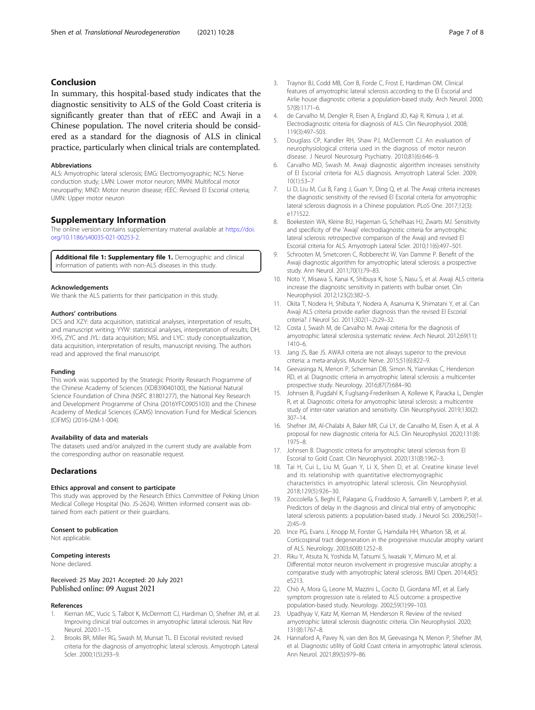# <span id="page-6-0"></span>Conclusion

In summary, this hospital-based study indicates that the diagnostic sensitivity to ALS of the Gold Coast criteria is significantly greater than that of rEEC and Awaji in a Chinese population. The novel criteria should be considered as a standard for the diagnosis of ALS in clinical practice, particularly when clinical trials are contemplated.

#### Abbreviations

ALS: Amyotrophic lateral sclerosis; EMG: Electromyographic; NCS: Nerve conduction study; LMN: Lower motor neuron; MMN: Multifocal motor neuropathy; MND: Motor neuron disease; rEEC: Revised El Escorial criteria; UMN: Upper motor neuron

## Supplementary Information

The online version contains supplementary material available at [https://doi.](https://doi.org/10.1186/s40035-021-00253-2) [org/10.1186/s40035-021-00253-2.](https://doi.org/10.1186/s40035-021-00253-2)

Additional file 1: Supplementary file 1. Demographic and clinical information of patients with non-ALS diseases in this study.

#### Acknowledgements

We thank the ALS patients for their participation in this study.

#### Authors' contributions

DCS and XZY: data acquisition, statistical analyses, interpretation of results, and manuscript writing; YYW: statistical analyses, interpretation of results; DH, XHS, ZYC and JYL: data acquisition; MSL and LYC: study conceptualization, data acquisition, interpretation of results, manuscript revising. The authors read and approved the final manuscript.

#### Funding

This work was supported by the Strategic Priority Research Programme of the Chinese Academy of Sciences (XDB39040100), the National Natural Science Foundation of China (NSFC 81801277), the National Key Research and Development Programme of China (2016YFC0905103) and the Chinese Academy of Medical Sciences (CAMS) Innovation Fund for Medical Sciences (CIFMS) (2016-I2M-1-004).

#### Availability of data and materials

The datasets used and/or analyzed in the current study are available from the corresponding author on reasonable request.

## **Declarations**

#### Ethics approval and consent to participate

This study was approved by the Research Ethics Committee of Peking Union Medical College Hospital (No. JS-2624). Written informed consent was obtained from each patient or their guardians.

#### Consent to publication

Not applicable.

#### Competing interests

None declared.

#### Received: 25 May 2021 Accepted: 20 July 2021 Published online: 09 August 2021

#### References

- Kiernan MC, Vucic S, Talbot K, McDermott CJ, Hardiman O, Shefner JM, et al. Improving clinical trial outcomes in amyotrophic lateral sclerosis. Nat Rev Neurol. 2020:1–15.
- 2. Brooks BR, Miller RG, Swash M, Munsat TL. El Escorial revisited: revised criteria for the diagnosis of amyotrophic lateral sclerosis. Amyotroph Lateral Scler. 2000;1(5):293–9.
- 3. Traynor BJ, Codd MB, Corr B, Forde C, Frost E, Hardiman OM. Clinical features of amyotrophic lateral sclerosis according to the El Escorial and Airlie house diagnostic criteria: a population-based study. Arch Neurol. 2000; 57(8):1171–6.
- 4. de Carvalho M, Dengler R, Eisen A, England JD, Kaji R, Kimura J, et al. Electrodiagnostic criteria for diagnosis of ALS. Clin Neurophysiol. 2008; 119(3):497–503.
- 5. Douglass CP, Kandler RH, Shaw PJ, McDermott CJ. An evaluation of neurophysiological criteria used in the diagnosis of motor neuron disease. J Neurol Neurosurg Psychiatry. 2010;81(6):646–9.
- 6. Carvalho MD, Swash M. Awaji diagnostic algorithm increases sensitivity of El Escorial criteria for ALS diagnosis. Amyotroph Lateral Scler. 2009; 10(1):53–7
- 7. Li D, Liu M, Cui B, Fang J, Guan Y, Ding Q, et al. The Awaji criteria increases the diagnostic sensitivity of the revised El Escorial criteria for amyotrophic lateral sclerosis diagnosis in a Chinese population. PLoS One. 2017;12(3): e171522.
- 8. Boekestein WA, Kleine BU, Hageman G, Schelhaas HJ, Zwarts MJ. Sensitivity and specificity of the 'Awaji' electrodiagnostic criteria for amyotrophic lateral sclerosis: retrospective comparison of the Awaji and revised El Escorial criteria for ALS. Amyotroph Lateral Scler. 2010;11(6):497–501.
- 9. Schrooten M, Smetcoren C, Robberecht W, Van Damme P. Benefit of the Awaji diagnostic algorithm for amyotrophic lateral sclerosis: a prospective study. Ann Neurol. 2011;70(1):79–83.
- 10. Noto Y, Misawa S, Kanai K, Shibuya K, Isose S, Nasu S, et al. Awaji ALS criteria increase the diagnostic sensitivity in patients with bulbar onset. Clin Neurophysiol. 2012;123(2):382–5.
- 11. Okita T, Nodera H, Shibuta Y, Nodera A, Asanuma K, Shimatani Y, et al. Can Awaji ALS criteria provide earlier diagnosis than the revised El Escorial criteria? J Neurol Sci. 2011;302(1–2):29–32.
- 12. Costa J, Swash M, de Carvalho M. Awaji criteria for the diagnosis of amyotrophic lateral sclerosis:a systematic review. Arch Neurol. 2012;69(11): 1410–6.
- 13. Jang JS, Bae JS. AWAJI criteria are not always superior to the previous criteria: a meta-analysis. Muscle Nerve. 2015;51(6):822–9.
- 14. Geevasinga N, Menon P, Scherman DB, Simon N, Yiannikas C, Henderson RD, et al. Diagnostic criteria in amyotrophic lateral sclerosis: a multicenter prospective study. Neurology. 2016;87(7):684–90.
- 15. Johnsen B, Pugdahl K, Fuglsang-Frederiksen A, Kollewe K, Paracka L, Dengler R, et al. Diagnostic criteria for amyotrophic lateral sclerosis: a multicentre study of inter-rater variation and sensitivity. Clin Neurophysiol. 2019;130(2): 307–14.
- 16. Shefner JM, Al-Chalabi A, Baker MR, Cui LY, de Carvalho M, Eisen A, et al. A proposal for new diagnostic criteria for ALS. Clin Neurophysiol. 2020;131(8): 1975–8.
- 17. Johnsen B. Diagnostic criteria for amyotrophic lateral sclerosis from El Escorial to Gold Coast. Clin Neurophysiol. 2020;131(8):1962–3.
- 18. Tai H, Cui L, Liu M, Guan Y, Li X, Shen D, et al. Creatine kinase level and its relationship with quantitative electromyographic characteristics in amyotrophic lateral sclerosis. Clin Neurophysiol. 2018;129(5):926–30.
- 19. Zoccolella S, Beghi E, Palagano G, Fraddosio A, Samarelli V, Lamberti P, et al. Predictors of delay in the diagnosis and clinical trial entry of amyotrophic lateral sclerosis patients: a population-based study. J Neurol Sci. 2006;250(1– 2):45–9.
- 20. Ince PG, Evans J, Knopp M, Forster G, Hamdalla HH, Wharton SB, et al. Corticospinal tract degeneration in the progressive muscular atrophy variant of ALS. Neurology. 2003;60(8):1252–8.
- 21. Riku Y, Atsuta N, Yoshida M, Tatsumi S, Iwasaki Y, Mimuro M, et al. Differential motor neuron involvement in progressive muscular atrophy: a comparative study with amyotrophic lateral sclerosis. BMJ Open. 2014;4(5): e5213.
- 22. Chiò A, Mora G, Leone M, Mazzini L, Cocito D, Giordana MT, et al. Early symptom progression rate is related to ALS outcome: a prospective population-based study. Neurology. 2002;59(1):99–103.
- 23. Upadhyay V, Katz M, Kiernan M, Henderson R. Review of the revised amyotrophic lateral sclerosis diagnostic criteria. Clin Neurophysiol. 2020; 131(8):1767–8.
- 24. Hannaford A, Pavey N, van den Bos M, Geevasinga N, Menon P, Shefner JM, et al. Diagnostic utility of Gold Coast criteria in amyotrophic lateral sclerosis. Ann Neurol. 2021;89(5):979–86.